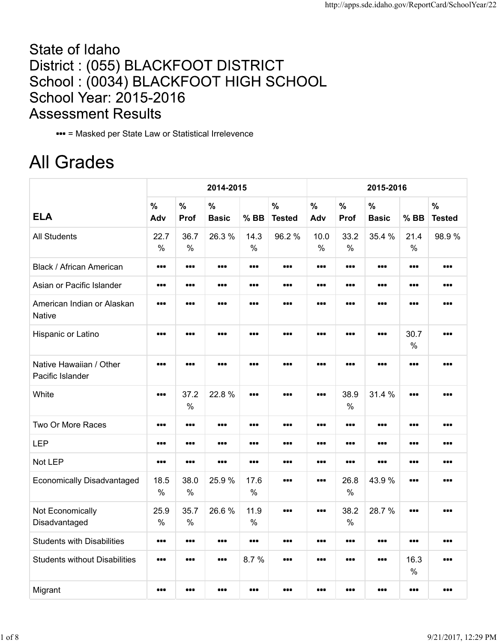## State of Idaho District: (055) BLACKFOOT DISTRICT School: (0034) BLACKFOOT HIGH SCHOOL School Year: 2015-2016 **Assessment Results**

= Masked per State Law or Statistical Irrelevence

## **All Grades**

|                                             | 2014-2015<br>2015-2016  |                       |                                                             |                                                              |                                |                       |                       |                                                             |                                                             |                                |
|---------------------------------------------|-------------------------|-----------------------|-------------------------------------------------------------|--------------------------------------------------------------|--------------------------------|-----------------------|-----------------------|-------------------------------------------------------------|-------------------------------------------------------------|--------------------------------|
| <b>ELA</b>                                  | $\frac{0}{0}$<br>Adv    | $\frac{1}{2}$<br>Prof | $\frac{0}{0}$<br><b>Basic</b>                               | $%$ BB                                                       | $\frac{0}{0}$<br><b>Tested</b> | $\frac{0}{0}$<br>Adv  | $\frac{0}{0}$<br>Prof | $\frac{0}{0}$<br><b>Basic</b>                               | $%$ BB                                                      | $\frac{0}{0}$<br><b>Tested</b> |
| <b>All Students</b>                         | 22.7<br>$\%$            | 36.7<br>$\frac{0}{0}$ | 26.3%                                                       | 14.3<br>$\frac{0}{0}$                                        | 96.2%                          | 10.0<br>$\frac{0}{0}$ | 33.2<br>$\%$          | 35.4 %                                                      | 21.4<br>$\frac{0}{0}$                                       | 98.9%                          |
| Black / African American                    |                         |                       | $\begin{array}{cc} \bullet & \bullet & \bullet \end{array}$ | $\bullet\bullet\bullet$                                      |                                |                       |                       | $\begin{array}{cc} \bullet & \bullet & \bullet \end{array}$ |                                                             |                                |
| Asian or Pacific Islander                   |                         |                       | $\bullet\bullet\bullet$                                     | $\bullet\bullet\bullet$                                      |                                |                       |                       |                                                             | $\bullet\bullet\bullet$                                     |                                |
| American Indian or Alaskan<br><b>Native</b> |                         | ---                   | ---                                                         | ---                                                          | ---                            |                       | ---                   | ---                                                         |                                                             | ---                            |
| Hispanic or Latino                          |                         |                       | $\bullet\bullet\bullet$                                     | $\bullet\bullet\bullet$                                      |                                |                       |                       |                                                             | 30.7<br>$\frac{0}{0}$                                       |                                |
| Native Hawaiian / Other<br>Pacific Islander |                         |                       | ---                                                         |                                                              | ---                            |                       | ---                   | ---                                                         | $\bullet$                                                   | ---                            |
| White                                       |                         | 37.2<br>$\frac{0}{0}$ | 22.8%                                                       | $\bullet\bullet\bullet$                                      |                                |                       | 38.9<br>$\frac{0}{0}$ | 31.4 %                                                      |                                                             |                                |
| Two Or More Races                           |                         |                       | $\bullet\bullet\bullet$                                     |                                                              |                                |                       |                       |                                                             |                                                             |                                |
| <b>LEP</b>                                  |                         |                       | $\bullet\bullet\bullet$                                     | $\begin{array}{ccc} \bullet & \bullet & \bullet \end{array}$ |                                |                       |                       |                                                             | $\begin{array}{cc} \bullet & \bullet & \bullet \end{array}$ |                                |
| Not LEP                                     |                         |                       | $\bullet\bullet\bullet$                                     | $\bullet\bullet\bullet$                                      |                                |                       |                       | $\bullet\bullet\bullet$                                     | $\bullet\bullet\bullet$                                     |                                |
| <b>Economically Disadvantaged</b>           | 18.5<br>$\%$            | 38.0<br>$\frac{0}{0}$ | 25.9%                                                       | 17.6<br>$\%$                                                 |                                |                       | 26.8<br>$\frac{0}{0}$ | 43.9%                                                       |                                                             |                                |
| Not Economically<br>Disadvantaged           | 25.9<br>$\%$            | 35.7<br>$\frac{0}{0}$ | 26.6%                                                       | 11.9<br>$\%$                                                 |                                |                       | 38.2<br>$\%$          | 28.7%                                                       |                                                             |                                |
| <b>Students with Disabilities</b>           | $\bullet\bullet\bullet$ |                       | $\bullet\bullet\bullet$                                     | $\bullet\bullet\bullet$                                      |                                |                       |                       |                                                             | $\bullet\bullet\bullet$                                     |                                |
| <b>Students without Disabilities</b>        | ---                     | ---                   | ---                                                         | 8.7%                                                         |                                |                       | ---                   |                                                             | 16.3<br>$\frac{0}{0}$                                       |                                |
| Migrant                                     |                         |                       | $\bullet\bullet\bullet$                                     |                                                              | $\bullet\bullet\bullet$        |                       |                       |                                                             | $\bullet\bullet\bullet$                                     |                                |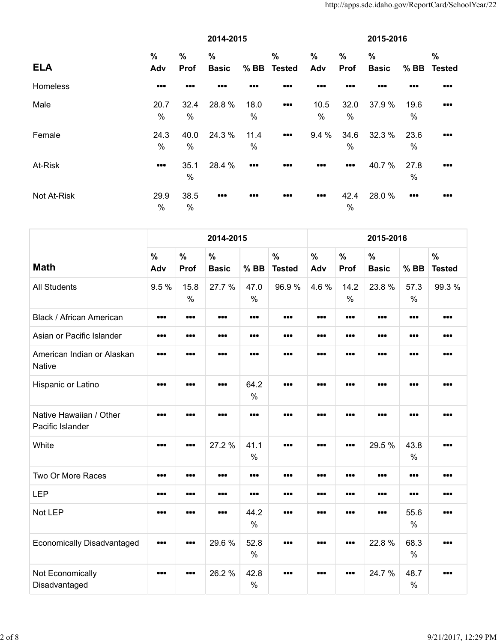|             | 2014-2015               |                         |                         |                         |                                                             | 2015-2016            |                         |                               |                                                        |                         |  |
|-------------|-------------------------|-------------------------|-------------------------|-------------------------|-------------------------------------------------------------|----------------------|-------------------------|-------------------------------|--------------------------------------------------------|-------------------------|--|
| <b>ELA</b>  | $\frac{0}{0}$<br>Adv    | $\%$<br>Prof            | %<br><b>Basic</b>       | $%$ BB                  | $\%$<br><b>Tested</b>                                       | $\frac{0}{0}$<br>Adv | $\frac{0}{0}$<br>Prof   | $\frac{0}{0}$<br><b>Basic</b> | $%$ BB                                                 | $\%$<br><b>Tested</b>   |  |
| Homeless    |                         | $\bullet\bullet\bullet$ |                         |                         |                                                             |                      |                         |                               |                                                        |                         |  |
| Male        | 20.7<br>%               | 32.4<br>%               | 28.8 %                  | 18.0<br>%               | $\begin{array}{cc} \bullet & \bullet & \bullet \end{array}$ | 10.5<br>%            | 32.0<br>%               | 37.9 %                        | 19.6<br>$\%$                                           | $\bullet\bullet\bullet$ |  |
| Female      | 24.3<br>$\%$            | 40.0<br>%               | 24.3 %                  | 11.4<br>$\frac{0}{0}$   | $\bullet\bullet\bullet$                                     | 9.4%                 | 34.6<br>$\%$            | 32.3 %                        | 23.6<br>$\%$                                           | $\bullet\bullet\bullet$ |  |
| At-Risk     | $\bullet\bullet\bullet$ | 35.1<br>%               | 28.4 %                  | $\bullet\bullet\bullet$ | $\bullet\bullet\bullet$                                     |                      | $\bullet\bullet\bullet$ | 40.7%                         | 27.8<br>$\%$                                           | $\bullet\bullet\bullet$ |  |
| Not At-Risk | 29.9<br>%               | 38.5<br>%               | $\bullet\bullet\bullet$ |                         |                                                             |                      | 42.4<br>$\%$            | 28.0%                         | $\begin{array}{c} \bullet \bullet \bullet \end{array}$ |                         |  |

|                                             |             |                         | 2014-2015            |                         |                         |                         |                         | 2015-2016            |                       |                                |
|---------------------------------------------|-------------|-------------------------|----------------------|-------------------------|-------------------------|-------------------------|-------------------------|----------------------|-----------------------|--------------------------------|
| <b>Math</b>                                 | $\%$<br>Adv | $\%$<br>Prof            | $\%$<br><b>Basic</b> | $%$ BB                  | $\%$<br><b>Tested</b>   | $\%$<br>Adv             | $\frac{0}{0}$<br>Prof   | $\%$<br><b>Basic</b> | $%$ BB                | $\frac{0}{0}$<br><b>Tested</b> |
| <b>All Students</b>                         | 9.5 %       | 15.8<br>$\%$            | 27.7 %               | 47.0<br>$\frac{0}{0}$   | 96.9%                   | 4.6%                    | 14.2<br>$\frac{0}{0}$   | 23.8%                | 57.3<br>$\frac{0}{0}$ | 99.3%                          |
| <b>Black / African American</b>             |             |                         |                      |                         | $\bullet\bullet\bullet$ | $\bullet\bullet\bullet$ |                         |                      |                       | $\bullet\bullet\bullet$        |
| Asian or Pacific Islander                   |             |                         |                      | $\bullet\bullet\bullet$ | $\bullet\bullet\bullet$ | $\bullet\bullet\bullet$ | $\bullet\bullet\bullet$ |                      |                       | $\bullet\bullet\bullet$        |
| American Indian or Alaskan<br><b>Native</b> |             |                         |                      |                         | $\bullet\bullet\bullet$ |                         |                         |                      |                       | $\bullet\bullet\bullet$        |
| Hispanic or Latino                          |             |                         |                      | 64.2<br>$\frac{0}{0}$   |                         |                         |                         |                      |                       |                                |
| Native Hawaiian / Other<br>Pacific Islander |             |                         |                      |                         |                         |                         |                         |                      |                       |                                |
| White                                       |             |                         | 27.2 %               | 41.1<br>$\frac{0}{0}$   | $\bullet\bullet\bullet$ |                         |                         | 29.5 %               | 43.8<br>$\frac{0}{0}$ |                                |
| Two Or More Races                           |             |                         |                      |                         | $\bullet\bullet\bullet$ |                         |                         |                      |                       | $\bullet\bullet\bullet$        |
| <b>LEP</b>                                  |             |                         |                      |                         | $\bullet$               |                         |                         |                      |                       |                                |
| Not LEP                                     |             |                         |                      | 44.2<br>$\frac{0}{0}$   | ---                     |                         | ---                     |                      | 55.6<br>$\frac{0}{0}$ |                                |
| <b>Economically Disadvantaged</b>           |             |                         | 29.6%                | 52.8<br>$\frac{0}{0}$   | ---                     |                         |                         | 22.8 %               | 68.3<br>$\frac{0}{0}$ | ---                            |
| Not Economically<br>Disadvantaged           |             | $\bullet\bullet\bullet$ | 26.2%                | 42.8<br>$\frac{0}{0}$   |                         | ---                     | $\bullet\bullet\bullet$ | 24.7 %               | 48.7<br>$\frac{0}{0}$ |                                |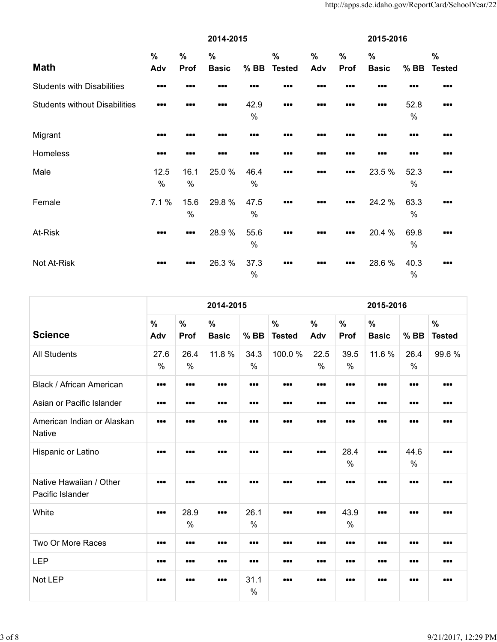|                                      | 2014-2015            |              |                               |              |                                |                      | 2015-2016             |                                                             |              |                                |  |
|--------------------------------------|----------------------|--------------|-------------------------------|--------------|--------------------------------|----------------------|-----------------------|-------------------------------------------------------------|--------------|--------------------------------|--|
| <b>Math</b>                          | $\frac{0}{0}$<br>Adv | $\%$<br>Prof | $\frac{0}{0}$<br><b>Basic</b> | $%$ BB       | $\frac{0}{0}$<br><b>Tested</b> | $\frac{0}{0}$<br>Adv | $\frac{0}{0}$<br>Prof | $\frac{0}{0}$<br><b>Basic</b>                               | $%$ BB       | $\frac{0}{0}$<br><b>Tested</b> |  |
| <b>Students with Disabilities</b>    |                      |              |                               |              |                                |                      |                       |                                                             |              |                                |  |
| <b>Students without Disabilities</b> |                      |              | $\bullet\bullet\bullet$       | 42.9<br>%    |                                |                      |                       | $\begin{array}{cc} \bullet & \bullet & \bullet \end{array}$ | 52.8<br>$\%$ |                                |  |
| Migrant                              |                      |              |                               |              |                                |                      |                       |                                                             |              |                                |  |
| Homeless                             |                      | 88 Q         |                               |              |                                |                      | ---                   |                                                             |              |                                |  |
| Male                                 | 12.5<br>%            | 16.1<br>%    | 25.0%                         | 46.4<br>%    | $\bullet\bullet\bullet$        |                      |                       | 23.5 %                                                      | 52.3<br>$\%$ |                                |  |
| Female                               | 7.1%                 | 15.6<br>$\%$ | 29.8%                         | 47.5<br>%    |                                |                      |                       | 24.2 %                                                      | 63.3<br>$\%$ |                                |  |
| At-Risk                              |                      |              | 28.9%                         | 55.6<br>$\%$ |                                |                      |                       | 20.4 %                                                      | 69.8<br>$\%$ |                                |  |
| Not At-Risk                          |                      |              | 26.3%                         | 37.3<br>$\%$ |                                |                      |                       | 28.6 %                                                      | 40.3<br>$\%$ |                                |  |

|                                             | 2014-2015<br>2015-2016  |                              |                               |                         |                                |                         |                              |                               |                       |                                |  |  |
|---------------------------------------------|-------------------------|------------------------------|-------------------------------|-------------------------|--------------------------------|-------------------------|------------------------------|-------------------------------|-----------------------|--------------------------------|--|--|
| <b>Science</b>                              | $\frac{0}{0}$<br>Adv    | $\frac{0}{0}$<br><b>Prof</b> | $\frac{0}{0}$<br><b>Basic</b> | $%$ BB                  | $\frac{0}{0}$<br><b>Tested</b> | $\frac{0}{0}$<br>Adv    | $\frac{0}{0}$<br><b>Prof</b> | $\frac{0}{0}$<br><b>Basic</b> | $%$ BB                | $\frac{0}{0}$<br><b>Tested</b> |  |  |
| <b>All Students</b>                         | 27.6<br>$\%$            | 26.4<br>$\frac{0}{0}$        | 11.8 %                        | 34.3<br>%               | 100.0%                         | 22.5<br>$\%$            | 39.5<br>$\%$                 | 11.6 %                        | 26.4<br>$\frac{0}{0}$ | 99.6%                          |  |  |
| Black / African American                    |                         | $\bullet\bullet\bullet$      | $\bullet\bullet\bullet$       | $\bullet\bullet\bullet$ |                                | $\bullet\bullet\bullet$ | $\bullet\bullet\bullet$      |                               |                       |                                |  |  |
| Asian or Pacific Islander                   |                         | $\bullet\bullet\bullet$      | 000                           | $\bullet\bullet\bullet$ |                                |                         |                              |                               |                       |                                |  |  |
| American Indian or Alaskan<br><b>Native</b> |                         |                              | 000                           |                         |                                |                         |                              |                               |                       |                                |  |  |
| Hispanic or Latino                          |                         |                              |                               |                         |                                | $\bullet\bullet\bullet$ | 28.4<br>$\%$                 |                               | 44.6<br>$\%$          |                                |  |  |
| Native Hawaiian / Other<br>Pacific Islander |                         |                              |                               |                         |                                |                         |                              |                               |                       |                                |  |  |
| White                                       | $\bullet\bullet\bullet$ | 28.9<br>$\%$                 | 000                           | 26.1<br>$\%$            |                                |                         | 43.9<br>$\%$                 |                               |                       |                                |  |  |
| Two Or More Races                           |                         | $\bullet\bullet\bullet$      | $\bullet\bullet\bullet$       | $\bullet\bullet\bullet$ |                                | $\bullet\bullet\bullet$ |                              |                               |                       |                                |  |  |
| <b>LEP</b>                                  |                         |                              | $\bullet\bullet\bullet$       |                         |                                | $\bullet\bullet\bullet$ |                              |                               |                       |                                |  |  |
| Not LEP                                     |                         |                              | $\bullet\bullet\bullet$       | 31.1<br>$\%$            |                                |                         |                              |                               |                       |                                |  |  |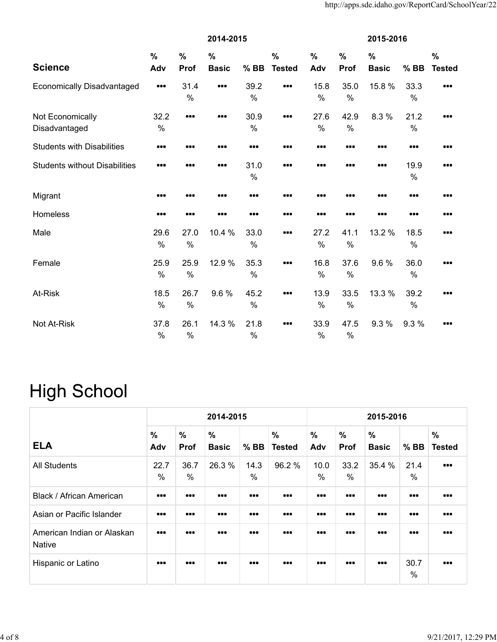|                                      | 2014-2015               |                       |                               |                       |                                |                      | 2015-2016    |                               |              |                                |  |  |
|--------------------------------------|-------------------------|-----------------------|-------------------------------|-----------------------|--------------------------------|----------------------|--------------|-------------------------------|--------------|--------------------------------|--|--|
| <b>Science</b>                       | $\frac{9}{6}$<br>Adv    | $\frac{0}{0}$<br>Prof | $\frac{0}{0}$<br><b>Basic</b> | $%$ BB                | $\frac{0}{0}$<br><b>Tested</b> | $\frac{0}{0}$<br>Adv | $\%$<br>Prof | $\frac{0}{0}$<br><b>Basic</b> | $%$ BB       | $\frac{0}{0}$<br><b>Tested</b> |  |  |
| <b>Economically Disadvantaged</b>    | $\bullet\bullet\bullet$ | 31.4<br>$\%$          |                               | 39.2<br>$\%$          |                                | 15.8<br>$\%$         | 35.0<br>%    | 15.8 %                        | 33.3<br>$\%$ |                                |  |  |
| Not Economically<br>Disadvantaged    | 32.2<br>$\%$            |                       |                               | 30.9<br>$\%$          |                                | 27.6<br>$\%$         | 42.9<br>%    | 8.3 %                         | 21.2<br>$\%$ |                                |  |  |
| <b>Students with Disabilities</b>    |                         |                       |                               |                       |                                |                      |              |                               |              | .                              |  |  |
| <b>Students without Disabilities</b> |                         |                       |                               | 31.0<br>$\frac{0}{0}$ |                                |                      |              |                               | 19.9<br>$\%$ |                                |  |  |
| Migrant                              |                         |                       |                               |                       |                                |                      |              |                               |              |                                |  |  |
| Homeless                             |                         |                       |                               |                       |                                |                      |              |                               |              |                                |  |  |
| Male                                 | 29.6<br>$\%$            | 27.0<br>$\%$          | 10.4 %                        | 33.0<br>$\%$          |                                | 27.2<br>%            | 41.1<br>$\%$ | 13.2 %                        | 18.5<br>%    |                                |  |  |
| Female                               | 25.9<br>$\%$            | 25.9<br>$\%$          | 12.9 %                        | 35.3<br>$\%$          |                                | 16.8<br>$\%$         | 37.6<br>%    | 9.6%                          | 36.0<br>$\%$ |                                |  |  |
| At-Risk                              | 18.5<br>$\%$            | 26.7<br>$\%$          | 9.6%                          | 45.2<br>$\%$          |                                | 13.9<br>$\%$         | 33.5<br>$\%$ | 13.3 %                        | 39.2<br>%    |                                |  |  |
| Not At-Risk                          | 37.8<br>$\%$            | 26.1<br>%             | 14.3 %                        | 21.8<br>$\%$          |                                | 33.9<br>$\%$         | 47.5<br>$\%$ | 9.3%                          | 9.3%         |                                |  |  |

## **High School**

|                                             |                         | 2014-2015<br>2015-2016  |                               |                         |                                |                         |                         |                               |                         |                                |  |  |  |
|---------------------------------------------|-------------------------|-------------------------|-------------------------------|-------------------------|--------------------------------|-------------------------|-------------------------|-------------------------------|-------------------------|--------------------------------|--|--|--|
| <b>ELA</b>                                  | %<br>Adv                | $\frac{0}{0}$<br>Prof   | $\frac{0}{0}$<br><b>Basic</b> | $%$ BB                  | $\frac{0}{0}$<br><b>Tested</b> | $\frac{0}{0}$<br>Adv    | $\frac{0}{0}$<br>Prof   | $\frac{0}{0}$<br><b>Basic</b> | $%$ BB                  | $\frac{0}{0}$<br><b>Tested</b> |  |  |  |
| <b>All Students</b>                         | 22.7<br>$\%$            | 36.7<br>$\%$            | 26.3 %                        | 14.3<br>%               | 96.2%                          | 10.0<br>$\%$            | 33.2<br>$\%$            | 35.4 %                        | 21.4<br>%               | 000                            |  |  |  |
| Black / African American                    |                         | $\bullet\bullet\bullet$ |                               | $\bullet\bullet\bullet$ |                                | $\bullet\bullet\bullet$ | $\bullet\bullet\bullet$ |                               | $\bullet\bullet\bullet$ |                                |  |  |  |
| Asian or Pacific Islander                   | $\bullet\bullet\bullet$ | $\bullet\bullet\bullet$ | $\bullet\bullet\bullet$       | $\bullet\bullet\bullet$ |                                | $\bullet\bullet\bullet$ | $\bullet\bullet\bullet$ |                               | $\bullet\bullet\bullet$ | $\bullet\bullet\bullet$        |  |  |  |
| American Indian or Alaskan<br><b>Native</b> |                         |                         |                               |                         |                                | $\bullet\bullet\bullet$ |                         |                               | $\bullet\bullet\bullet$ |                                |  |  |  |
| Hispanic or Latino                          | $\bullet\bullet\bullet$ |                         | $\bullet\bullet\bullet$       |                         | 000                            | $\bullet\bullet\bullet$ |                         | $\bullet\bullet\bullet$       | 30.7<br>$\%$            | $\bullet\bullet\bullet$        |  |  |  |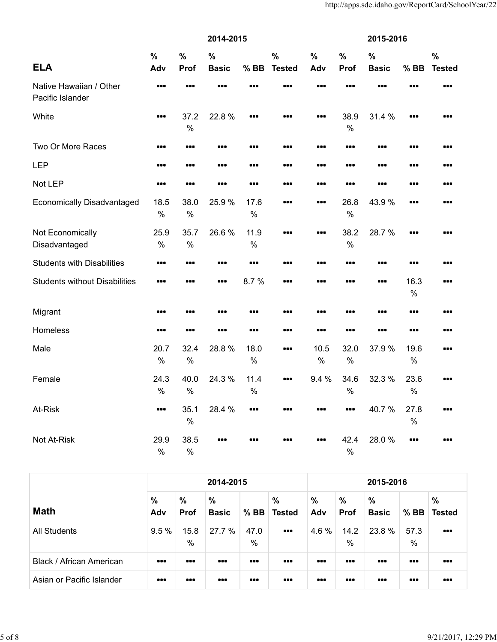|                                             | 2014-2015             |                       |                               |                       |                                |                      | 2015-2016                                                   |                               |                       |                                |  |  |
|---------------------------------------------|-----------------------|-----------------------|-------------------------------|-----------------------|--------------------------------|----------------------|-------------------------------------------------------------|-------------------------------|-----------------------|--------------------------------|--|--|
| <b>ELA</b>                                  | $\frac{0}{0}$<br>Adv  | $\%$<br>Prof          | $\frac{0}{0}$<br><b>Basic</b> | $%$ BB                | $\frac{0}{0}$<br><b>Tested</b> | $\frac{0}{0}$<br>Adv | $\frac{0}{0}$<br>Prof                                       | $\frac{0}{0}$<br><b>Basic</b> | $%$ BB                | $\frac{0}{0}$<br><b>Tested</b> |  |  |
| Native Hawaiian / Other<br>Pacific Islander |                       |                       |                               |                       |                                |                      |                                                             |                               |                       |                                |  |  |
| White                                       | ---                   | 37.2<br>$\%$          | 22.8%                         | ---                   |                                | ---                  | 38.9<br>$\frac{0}{0}$                                       | 31.4 %                        | ---                   |                                |  |  |
| Two Or More Races                           |                       |                       |                               |                       |                                |                      |                                                             |                               | <b></b>               |                                |  |  |
| <b>LEP</b>                                  |                       |                       | $\bullet\bullet\bullet$       |                       |                                |                      |                                                             |                               |                       |                                |  |  |
| Not LEP                                     |                       |                       |                               |                       |                                |                      |                                                             |                               |                       |                                |  |  |
| <b>Economically Disadvantaged</b>           | 18.5<br>$\%$          | 38.0<br>$\frac{0}{0}$ | 25.9%                         | 17.6<br>$\%$          |                                |                      | 26.8<br>$\frac{0}{0}$                                       | 43.9%                         |                       |                                |  |  |
| Not Economically<br>Disadvantaged           | 25.9<br>$\frac{0}{0}$ | 35.7<br>$\frac{0}{0}$ | 26.6%                         | 11.9<br>$\frac{0}{0}$ |                                |                      | 38.2<br>$\frac{0}{0}$                                       | 28.7%                         |                       |                                |  |  |
| <b>Students with Disabilities</b>           |                       |                       |                               |                       |                                |                      |                                                             |                               |                       |                                |  |  |
| <b>Students without Disabilities</b>        |                       | 88 B                  | $\bullet\bullet\bullet$       | 8.7%                  |                                |                      | ---                                                         |                               | 16.3<br>$\%$          |                                |  |  |
| Migrant                                     | ---                   | ---                   | ---                           |                       | ---                            | ---                  |                                                             |                               |                       |                                |  |  |
| Homeless                                    | ---                   |                       |                               |                       |                                |                      |                                                             |                               | ---                   |                                |  |  |
| Male                                        | 20.7<br>$\%$          | 32.4<br>$\frac{0}{0}$ | 28.8%                         | 18.0<br>$\%$          |                                | 10.5<br>$\%$         | 32.0<br>$\%$                                                | 37.9%                         | 19.6<br>$\%$          |                                |  |  |
| Female                                      | 24.3<br>$\frac{0}{0}$ | 40.0<br>$\frac{0}{0}$ | 24.3 %                        | 11.4<br>$\frac{0}{0}$ |                                | 9.4 %                | 34.6<br>$\frac{0}{0}$                                       | 32.3 %                        | 23.6<br>$\frac{0}{0}$ |                                |  |  |
| At-Risk                                     |                       | 35.1<br>$\frac{0}{0}$ | 28.4 %                        |                       | ---                            | ---                  | $\begin{array}{cc} \bullet & \bullet & \bullet \end{array}$ | 40.7%                         | 27.8<br>$\%$          | ---                            |  |  |
| Not At-Risk                                 | 29.9<br>$\%$          | 38.5<br>$\%$          |                               |                       |                                |                      | 42.4<br>$\frac{0}{0}$                                       | 28.0%                         |                       |                                |  |  |

|                           |                         |                              | 2014-2015               |                         |                                                             |                         |                              | 2015-2016            |                         |                                                             |  |
|---------------------------|-------------------------|------------------------------|-------------------------|-------------------------|-------------------------------------------------------------|-------------------------|------------------------------|----------------------|-------------------------|-------------------------------------------------------------|--|
| <b>Math</b>               | $\%$<br>Adv             | $\frac{0}{0}$<br><b>Prof</b> | %<br><b>Basic</b>       | $%$ BB                  | %<br><b>Tested</b>                                          | %<br>Adv                | $\frac{0}{0}$<br><b>Prof</b> | $\%$<br><b>Basic</b> | $%$ BB                  | $\frac{0}{0}$<br><b>Tested</b>                              |  |
| <b>All Students</b>       | 9.5%                    | 15.8<br>$\%$                 | 27.7 %                  | 47.0<br>$\frac{0}{0}$   | $\begin{array}{cc} \bullet & \bullet & \bullet \end{array}$ | 4.6 %                   | 14.2<br>$\frac{0}{0}$        | 23.8 %               | 57.3<br>$\frac{0}{0}$   | $\begin{array}{cc} \bullet & \bullet & \bullet \end{array}$ |  |
| Black / African American  | $\bullet\bullet\bullet$ | $\bullet\bullet\bullet$      | $\bullet\bullet\bullet$ | $\bullet\bullet\bullet$ |                                                             | $\bullet\bullet\bullet$ | $\bullet\bullet\bullet$      |                      | $\bullet\bullet\bullet$ | $\bullet\bullet\bullet$                                     |  |
| Asian or Pacific Islander | $\bullet\bullet\bullet$ | $\bullet\bullet\bullet$      | $\bullet\bullet\bullet$ |                         |                                                             | $\bullet\bullet\bullet$ | $\bullet\bullet\bullet$      |                      | $\bullet\bullet\bullet$ | $\bullet\bullet\bullet$                                     |  |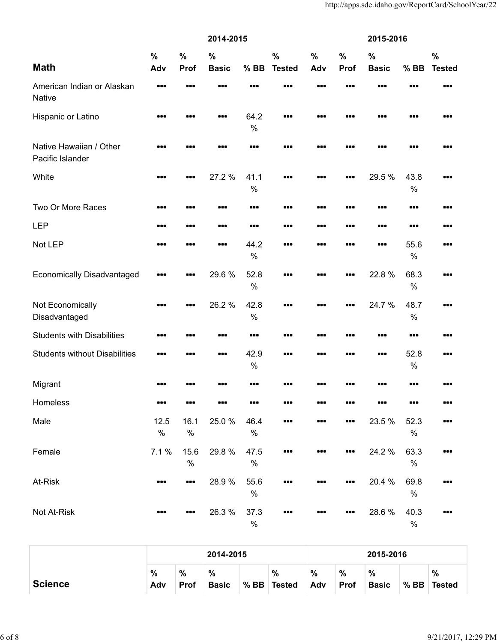|                                             |                      |                       | 2014-2015                     |              |                                | 2015-2016   |              |                               |              |                                |  |
|---------------------------------------------|----------------------|-----------------------|-------------------------------|--------------|--------------------------------|-------------|--------------|-------------------------------|--------------|--------------------------------|--|
| <b>Math</b>                                 | $\frac{0}{0}$<br>Adv | $\frac{0}{0}$<br>Prof | $\frac{0}{0}$<br><b>Basic</b> | $%$ BB       | $\frac{0}{0}$<br><b>Tested</b> | $\%$<br>Adv | $\%$<br>Prof | $\frac{0}{0}$<br><b>Basic</b> | $%$ BB       | $\frac{0}{0}$<br><b>Tested</b> |  |
| American Indian or Alaskan<br>Native        |                      |                       |                               |              |                                |             |              |                               |              |                                |  |
| Hispanic or Latino                          |                      |                       |                               | 64.2<br>$\%$ |                                | ---         | 88 Q         |                               |              |                                |  |
| Native Hawaiian / Other<br>Pacific Islander |                      | ---                   |                               |              |                                |             |              | 88 E                          |              |                                |  |
| White                                       |                      |                       | 27.2 %                        | 41.1<br>$\%$ |                                |             |              | 29.5 %                        | 43.8<br>$\%$ |                                |  |
| Two Or More Races                           |                      |                       |                               |              |                                |             |              |                               |              |                                |  |
| <b>LEP</b>                                  |                      |                       |                               |              |                                |             |              |                               |              |                                |  |
| Not LEP                                     |                      |                       |                               | 44.2<br>$\%$ |                                |             | ---          |                               | 55.6<br>$\%$ | 88 E                           |  |
| <b>Economically Disadvantaged</b>           |                      |                       | 29.6%                         | 52.8<br>$\%$ | $\bullet$                      | ---         |              | 22.8%                         | 68.3<br>$\%$ |                                |  |
| Not Economically<br>Disadvantaged           |                      |                       | 26.2%                         | 42.8<br>$\%$ |                                |             |              | 24.7 %                        | 48.7<br>$\%$ |                                |  |
| <b>Students with Disabilities</b>           |                      |                       |                               |              |                                |             |              |                               |              |                                |  |
| <b>Students without Disabilities</b>        | .                    | .                     |                               | 42.9<br>$\%$ | 88 E                           |             | .            |                               | 52.8<br>$\%$ |                                |  |
| Migrant                                     |                      |                       |                               |              |                                |             |              |                               |              |                                |  |
| Homeless                                    |                      |                       |                               |              |                                |             |              |                               |              |                                |  |
| Male                                        | 12.5<br>$\%$         | 16.1<br>$\%$          | 25.0%                         | 46.4<br>$\%$ |                                |             |              | 23.5 %                        | 52.3<br>$\%$ |                                |  |
| Female                                      | 7.1%                 | 15.6<br>$\%$          | 29.8%                         | 47.5<br>$\%$ |                                |             |              | 24.2 %                        | 63.3<br>$\%$ |                                |  |
| At-Risk                                     |                      |                       | 28.9%                         | 55.6<br>$\%$ |                                |             |              | 20.4 %                        | 69.8<br>$\%$ |                                |  |
| Not At-Risk                                 |                      |                       | 26.3%                         | 37.3<br>$\%$ |                                |             |              | 28.6 %                        | 40.3<br>$\%$ |                                |  |

|                |             |              | 2014-2015                     |        |                       |                      |                              | 2015-2016         |        |                    |
|----------------|-------------|--------------|-------------------------------|--------|-----------------------|----------------------|------------------------------|-------------------|--------|--------------------|
| <b>Science</b> | $\%$<br>Adv | $\%$<br>Prof | $\frac{0}{0}$<br><b>Basic</b> | $%$ BB | $\%$<br><b>Tested</b> | $\frac{0}{0}$<br>Adv | $\frac{0}{0}$<br><b>Prof</b> | %<br><b>Basic</b> | $%$ BB | %<br><b>Tested</b> |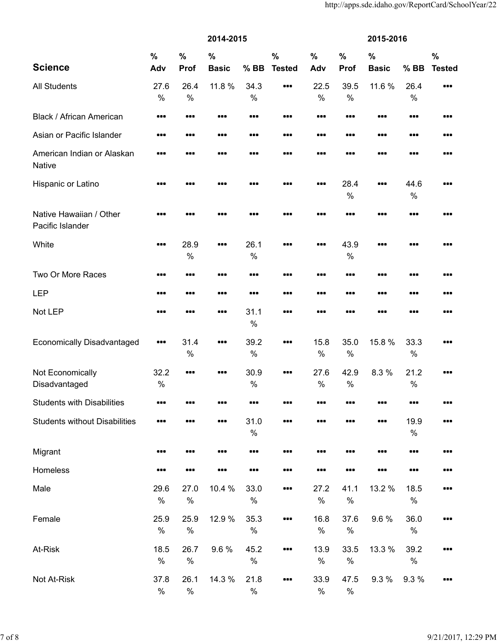|                                             |                       |                       | 2014-2015    |                       |               |               |                       | 2015-2016     |              |               |
|---------------------------------------------|-----------------------|-----------------------|--------------|-----------------------|---------------|---------------|-----------------------|---------------|--------------|---------------|
|                                             | $\frac{0}{0}$         | $\frac{0}{0}$         | $\%$         |                       | $\frac{0}{0}$ | $\frac{0}{0}$ | $\frac{0}{0}$         | $\frac{0}{0}$ |              | $\frac{0}{0}$ |
| <b>Science</b>                              | Adv                   | Prof                  | <b>Basic</b> | $%$ BB                | <b>Tested</b> | Adv           | Prof                  | <b>Basic</b>  | $%$ BB       | <b>Tested</b> |
| <b>All Students</b>                         | 27.6<br>$\frac{0}{0}$ | 26.4<br>$\frac{0}{0}$ | 11.8 %       | 34.3<br>$\%$          |               | 22.5<br>$\%$  | 39.5<br>$\%$          | 11.6 %        | 26.4<br>$\%$ |               |
| Black / African American                    |                       |                       |              |                       |               |               |                       |               |              | .             |
| Asian or Pacific Islander                   |                       |                       |              |                       |               |               |                       |               |              |               |
| American Indian or Alaskan<br><b>Native</b> |                       |                       |              |                       |               |               |                       |               | 88 C         |               |
| Hispanic or Latino                          |                       |                       | .            |                       |               |               | 28.4<br>$\frac{0}{0}$ |               | 44.6<br>$\%$ |               |
| Native Hawaiian / Other<br>Pacific Islander |                       |                       |              |                       |               |               |                       |               |              |               |
| White                                       |                       | 28.9<br>$\frac{0}{0}$ |              | 26.1<br>$\frac{0}{0}$ |               |               | 43.9<br>$\%$          |               |              | .             |
| Two Or More Races                           |                       |                       |              |                       |               |               |                       |               |              |               |
| <b>LEP</b>                                  |                       |                       |              |                       |               |               |                       |               |              |               |
| Not LEP                                     |                       |                       |              | 31.1<br>$\%$          |               |               |                       |               |              |               |
| <b>Economically Disadvantaged</b>           |                       | 31.4<br>$\frac{0}{0}$ |              | 39.2<br>$\%$          |               | 15.8<br>$\%$  | 35.0<br>$\%$          | 15.8 %        | 33.3<br>$\%$ |               |
| Not Economically<br>Disadvantaged           | 32.2<br>$\%$          |                       |              | 30.9<br>$\frac{0}{0}$ |               | 27.6<br>$\%$  | 42.9<br>$\%$          | 8.3 %         | 21.2<br>$\%$ |               |
| <b>Students with Disabilities</b>           |                       |                       |              |                       |               |               |                       |               |              |               |
| <b>Students without Disabilities</b>        |                       |                       |              | 31.0<br>$\%$          |               |               |                       |               | 19.9<br>$\%$ |               |
| Migrant                                     |                       |                       | .            |                       | .             |               |                       |               |              |               |
| Homeless                                    |                       |                       |              |                       |               |               |                       |               |              | .             |
| Male                                        | 29.6<br>$\%$          | 27.0<br>$\%$          | 10.4 %       | 33.0<br>$\%$          |               | 27.2<br>$\%$  | 41.1<br>$\%$          | 13.2 %        | 18.5<br>$\%$ | .             |
| Female                                      | 25.9<br>$\%$          | 25.9<br>$\%$          | 12.9 %       | 35.3<br>$\%$          |               | 16.8<br>$\%$  | 37.6<br>$\%$          | 9.6%          | 36.0<br>$\%$ |               |
| At-Risk                                     | 18.5<br>$\%$          | 26.7<br>$\%$          | 9.6%         | 45.2<br>$\%$          |               | 13.9<br>$\%$  | 33.5<br>$\%$          | 13.3 %        | 39.2<br>$\%$ |               |
| Not At-Risk                                 | 37.8<br>$\%$          | 26.1<br>$\%$          | 14.3 %       | 21.8<br>$\%$          |               | 33.9<br>$\%$  | 47.5<br>$\%$          | 9.3%          | 9.3 %        |               |